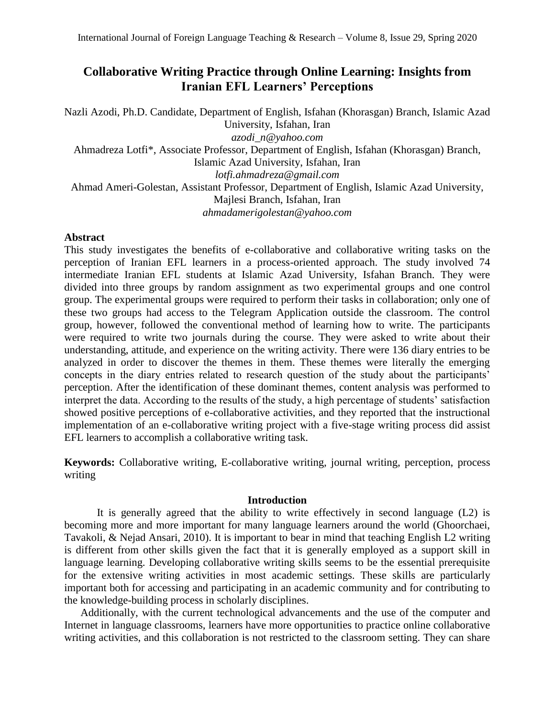# **Collaborative Writing Practice through Online Learning: Insights from Iranian EFL Learners' Perceptions**

Nazli Azodi, Ph.D. Candidate, Department of English, Isfahan (Khorasgan) Branch, Islamic Azad University, Isfahan, Iran *[azodi\\_n@yahoo.com](mailto:azodi_n@yahoo.com)* Ahmadreza Lotfi\*, Associate Professor, Department of English, Isfahan (Khorasgan) Branch, Islamic Azad University, Isfahan, Iran *[lotfi.ahmadreza@gmail.com](mailto:lotfi.ahmadreza@gmail.com)* Ahmad Ameri-Golestan, Assistant Professor, Department of English, Islamic Azad University, Majlesi Branch, Isfahan, Iran *[ahmadamerigolestan@yahoo.com](mailto:ahmadamerigolestan@yahoo.com)*

## **Abstract**

This study investigates the benefits of e-collaborative and collaborative writing tasks on the perception of Iranian EFL learners in a process-oriented approach. The study involved 74 intermediate Iranian EFL students at Islamic Azad University, Isfahan Branch. They were divided into three groups by random assignment as two experimental groups and one control group. The experimental groups were required to perform their tasks in collaboration; only one of these two groups had access to the Telegram Application outside the classroom. The control group, however, followed the conventional method of learning how to write. The participants were required to write two journals during the course. They were asked to write about their understanding, attitude, and experience on the writing activity. There were 136 diary entries to be analyzed in order to discover the themes in them. These themes were literally the emerging concepts in the diary entries related to research question of the study about the participants' perception. After the identification of these dominant themes, content analysis was performed to interpret the data. According to the results of the study, a high percentage of students' satisfaction showed positive perceptions of e-collaborative activities, and they reported that the instructional implementation of an e-collaborative writing project with a five-stage writing process did assist EFL learners to accomplish a collaborative writing task.

**Keywords:** Collaborative writing, E-collaborative writing, journal writing, perception, process writing

### **Introduction**

It is generally agreed that the ability to write effectively in second language (L2) is becoming more and more important for many language learners around the world (Ghoorchaei, Tavakoli, & Nejad Ansari, 2010). It is important to bear in mind that teaching English L2 writing is different from other skills given the fact that it is generally employed as a support skill in language learning. Developing collaborative writing skills seems to be the essential prerequisite for the extensive writing activities in most academic settings. These skills are particularly important both for accessing and participating in an academic community and for contributing to the knowledge-building process in scholarly disciplines.

 Additionally, with the current technological advancements and the use of the computer and Internet in language classrooms, learners have more opportunities to practice online collaborative writing activities, and this collaboration is not restricted to the classroom setting. They can share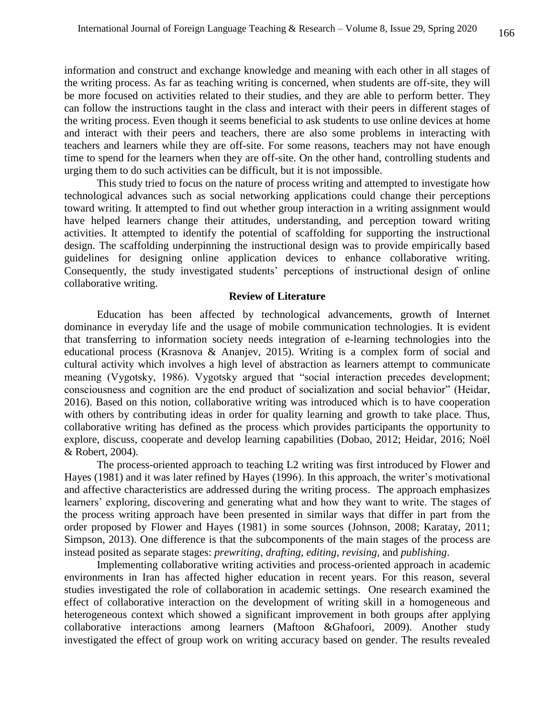information and construct and exchange knowledge and meaning with each other in all stages of the writing process. As far as teaching writing is concerned, when students are off-site, they will be more focused on activities related to their studies, and they are able to perform better. They can follow the instructions taught in the class and interact with their peers in different stages of the writing process. Even though it seems beneficial to ask students to use online devices at home and interact with their peers and teachers, there are also some problems in interacting with teachers and learners while they are off-site. For some reasons, teachers may not have enough time to spend for the learners when they are off-site. On the other hand, controlling students and urging them to do such activities can be difficult, but it is not impossible.

 This study tried to focus on the nature of process writing and attempted to investigate how technological advances such as social networking applications could change their perceptions toward writing. It attempted to find out whether group interaction in a writing assignment would have helped learners change their attitudes, understanding, and perception toward writing activities. It attempted to identify the potential of scaffolding for supporting the instructional design. The scaffolding underpinning the instructional design was to provide empirically based guidelines for designing online application devices to enhance collaborative writing. Consequently, the study investigated students' perceptions of instructional design of online collaborative writing.

#### **Review of Literature**

Education has been affected by technological advancements, growth of Internet dominance in everyday life and the usage of mobile communication technologies. It is evident that transferring to information society needs integration of e-learning technologies into the educational process (Krasnova & Ananjev, 2015). Writing is a complex form of social and cultural activity which involves a high level of abstraction as learners attempt to communicate meaning (Vygotsky, 1986). Vygotsky argued that "social interaction precedes development; consciousness and cognition are the end product of socialization and social behavior" (Heidar, 2016). Based on this notion, collaborative writing was introduced which is to have cooperation with others by contributing ideas in order for quality learning and growth to take place. Thus, collaborative writing has defined as the process which provides participants the opportunity to explore, discuss, cooperate and develop learning capabilities (Dobao, 2012; Heidar, 2016; Noël & Robert, 2004).

 The process-oriented approach to teaching L2 writing was first introduced by Flower and Hayes (1981) and it was later refined by Hayes (1996). In this approach, the writer's motivational and affective characteristics are addressed during the writing process. The approach emphasizes learners' exploring, discovering and generating what and how they want to write. The stages of the process writing approach have been presented in similar ways that differ in part from the order proposed by Flower and Hayes (1981) in some sources (Johnson, 2008; Karatay, 2011; Simpson, 2013). One difference is that the subcomponents of the main stages of the process are instead posited as separate stages: *prewriting*, *drafting*, *editing*, *revising,* and *publishing*.

 Implementing collaborative writing activities and process-oriented approach in academic environments in Iran has affected higher education in recent years. For this reason, several studies investigated the role of collaboration in academic settings. One research examined the effect of collaborative interaction on the development of writing skill in a homogeneous and heterogeneous context which showed a significant improvement in both groups after applying collaborative interactions among learners (Maftoon &Ghafoori, 2009). Another study investigated the effect of group work on writing accuracy based on gender. The results revealed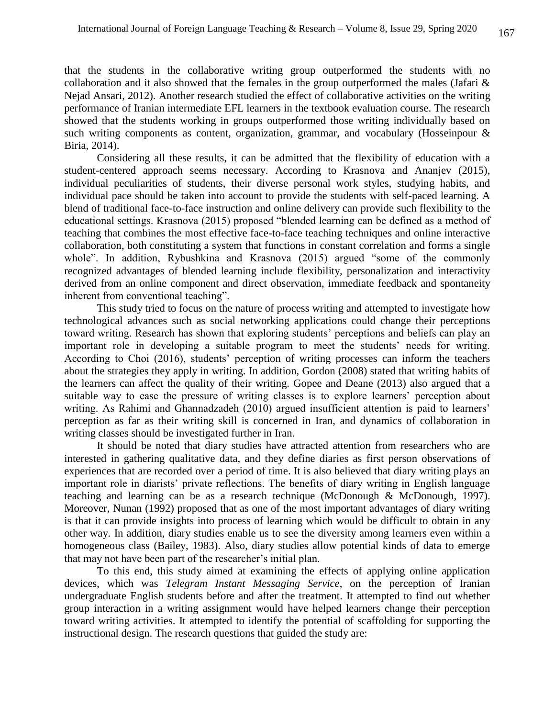that the students in the collaborative writing group outperformed the students with no collaboration and it also showed that the females in the group outperformed the males (Jafari & Nejad Ansari, 2012). Another research studied the effect of collaborative activities on the writing performance of Iranian intermediate EFL learners in the textbook evaluation course. The research showed that the students working in groups outperformed those writing individually based on such writing components as content, organization, grammar, and vocabulary (Hosseinpour & Biria, 2014).

 Considering all these results, it can be admitted that the flexibility of education with a student-centered approach seems necessary. According to Krasnova and Ananjev (2015), individual peculiarities of students, their diverse personal work styles, studying habits, and individual pace should be taken into account to provide the students with self-paced learning. A blend of traditional face-to-face instruction and online delivery can provide such flexibility to the educational settings. Krasnova (2015) proposed "blended learning can be defined as a method of teaching that combines the most effective face-to-face teaching techniques and online interactive collaboration, both constituting a system that functions in constant correlation and forms a single whole". In addition, Rybushkina and Krasnova (2015) argued "some of the commonly recognized advantages of blended learning include flexibility, personalization and interactivity derived from an online component and direct observation, immediate feedback and spontaneity inherent from conventional teaching".

 This study tried to focus on the nature of process writing and attempted to investigate how technological advances such as social networking applications could change their perceptions toward writing. Research has shown that exploring students' perceptions and beliefs can play an important role in developing a suitable program to meet the students' needs for writing. According to Choi (2016), students' perception of writing processes can inform the teachers about the strategies they apply in writing. In addition, Gordon (2008) stated that writing habits of the learners can affect the quality of their writing. Gopee and Deane (2013) also argued that a suitable way to ease the pressure of writing classes is to explore learners' perception about writing. As Rahimi and Ghannadzadeh (2010) argued insufficient attention is paid to learners' perception as far as their writing skill is concerned in Iran, and dynamics of collaboration in writing classes should be investigated further in Iran.

 It should be noted that diary studies have attracted attention from researchers who are interested in gathering qualitative data, and they define diaries as first person observations of experiences that are recorded over a period of time. It is also believed that diary writing plays an important role in diarists' private reflections. The benefits of diary writing in English language teaching and learning can be as a research technique (McDonough & McDonough, 1997). Moreover, Nunan (1992) proposed that as one of the most important advantages of diary writing is that it can provide insights into process of learning which would be difficult to obtain in any other way. In addition, diary studies enable us to see the diversity among learners even within a homogeneous class (Bailey, 1983). Also, diary studies allow potential kinds of data to emerge that may not have been part of the researcher's initial plan.

 To this end, this study aimed at examining the effects of applying online application devices, which was *Telegram Instant Messaging Service*, on the perception of Iranian undergraduate English students before and after the treatment. It attempted to find out whether group interaction in a writing assignment would have helped learners change their perception toward writing activities. It attempted to identify the potential of scaffolding for supporting the instructional design. The research questions that guided the study are: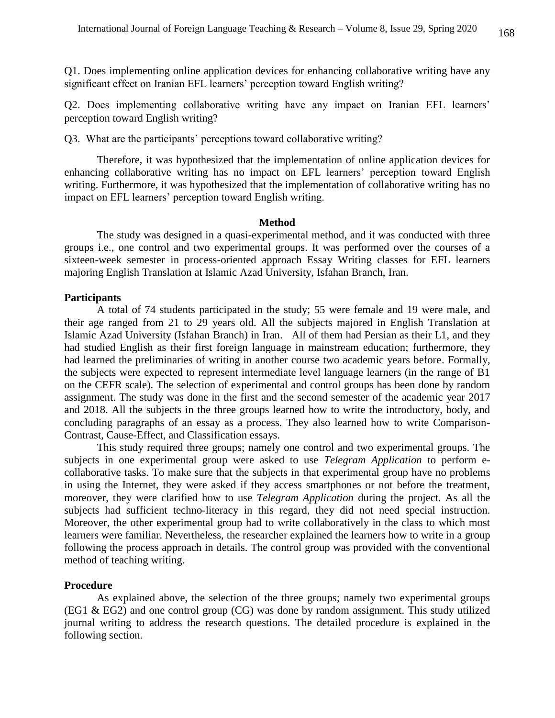Q1. Does implementing online application devices for enhancing collaborative writing have any significant effect on Iranian EFL learners' perception toward English writing?

Q2. Does implementing collaborative writing have any impact on Iranian EFL learners' perception toward English writing?

Q3. What are the participants' perceptions toward collaborative writing?

 Therefore, it was hypothesized that the implementation of online application devices for enhancing collaborative writing has no impact on EFL learners' perception toward English writing. Furthermore, it was hypothesized that the implementation of collaborative writing has no impact on EFL learners' perception toward English writing.

#### **Method**

The study was designed in a quasi-experimental method, and it was conducted with three groups i.e., one control and two experimental groups. It was performed over the courses of a sixteen-week semester in process-oriented approach Essay Writing classes for EFL learners majoring English Translation at Islamic Azad University, Isfahan Branch, Iran.

#### **Participants**

A total of 74 students participated in the study; 55 were female and 19 were male, and their age ranged from 21 to 29 years old. All the subjects majored in English Translation at Islamic Azad University (Isfahan Branch) in Iran. All of them had Persian as their L1, and they had studied English as their first foreign language in mainstream education; furthermore, they had learned the preliminaries of writing in another course two academic years before. Formally, the subjects were expected to represent intermediate level language learners (in the range of B1 on the CEFR scale). The selection of experimental and control groups has been done by random assignment. The study was done in the first and the second semester of the academic year 2017 and 2018. All the subjects in the three groups learned how to write the introductory, body, and concluding paragraphs of an essay as a process. They also learned how to write Comparison-Contrast, Cause-Effect, and Classification essays.

 This study required three groups; namely one control and two experimental groups. The subjects in one experimental group were asked to use *Telegram Application* to perform ecollaborative tasks. To make sure that the subjects in that experimental group have no problems in using the Internet, they were asked if they access smartphones or not before the treatment, moreover, they were clarified how to use *Telegram Application* during the project. As all the subjects had sufficient techno-literacy in this regard, they did not need special instruction. Moreover, the other experimental group had to write collaboratively in the class to which most learners were familiar. Nevertheless, the researcher explained the learners how to write in a group following the process approach in details. The control group was provided with the conventional method of teaching writing.

### **Procedure**

As explained above, the selection of the three groups; namely two experimental groups (EG1 & EG2) and one control group (CG) was done by random assignment. This study utilized journal writing to address the research questions. The detailed procedure is explained in the following section.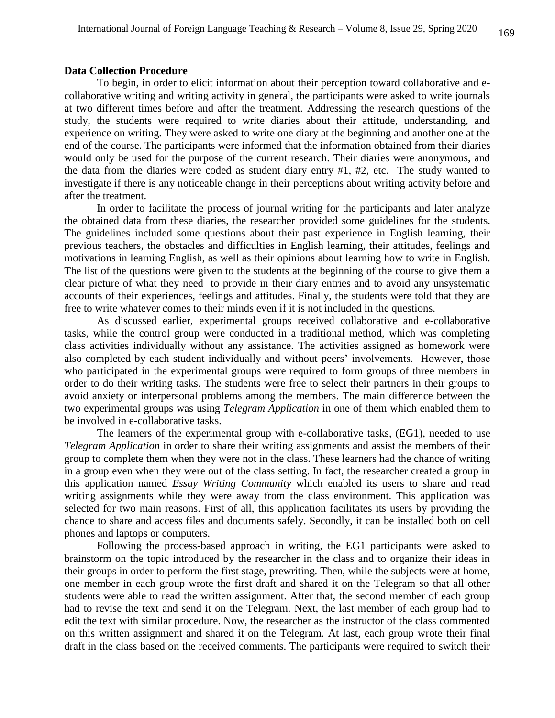#### **Data Collection Procedure**

To begin, in order to elicit information about their perception toward collaborative and ecollaborative writing and writing activity in general, the participants were asked to write journals at two different times before and after the treatment. Addressing the research questions of the study, the students were required to write diaries about their attitude, understanding, and experience on writing. They were asked to write one diary at the beginning and another one at the end of the course. The participants were informed that the information obtained from their diaries would only be used for the purpose of the current research. Their diaries were anonymous, and the data from the diaries were coded as student diary entry #1, #2, etc. The study wanted to investigate if there is any noticeable change in their perceptions about writing activity before and after the treatment.

 In order to facilitate the process of journal writing for the participants and later analyze the obtained data from these diaries, the researcher provided some guidelines for the students. The guidelines included some questions about their past experience in English learning, their previous teachers, the obstacles and difficulties in English learning, their attitudes, feelings and motivations in learning English, as well as their opinions about learning how to write in English. The list of the questions were given to the students at the beginning of the course to give them a clear picture of what they need to provide in their diary entries and to avoid any unsystematic accounts of their experiences, feelings and attitudes. Finally, the students were told that they are free to write whatever comes to their minds even if it is not included in the questions.

 As discussed earlier, experimental groups received collaborative and e-collaborative tasks, while the control group were conducted in a traditional method, which was completing class activities individually without any assistance. The activities assigned as homework were also completed by each student individually and without peers' involvements. However, those who participated in the experimental groups were required to form groups of three members in order to do their writing tasks. The students were free to select their partners in their groups to avoid anxiety or interpersonal problems among the members. The main difference between the two experimental groups was using *Telegram Application* in one of them which enabled them to be involved in e-collaborative tasks.

 The learners of the experimental group with e-collaborative tasks, (EG1), needed to use *Telegram Application* in order to share their writing assignments and assist the members of their group to complete them when they were not in the class. These learners had the chance of writing in a group even when they were out of the class setting. In fact, the researcher created a group in this application named *Essay Writing Community* which enabled its users to share and read writing assignments while they were away from the class environment. This application was selected for two main reasons. First of all, this application facilitates its users by providing the chance to share and access files and documents safely. Secondly, it can be installed both on cell phones and laptops or computers.

 Following the process-based approach in writing, the EG1 participants were asked to brainstorm on the topic introduced by the researcher in the class and to organize their ideas in their groups in order to perform the first stage, prewriting. Then, while the subjects were at home, one member in each group wrote the first draft and shared it on the Telegram so that all other students were able to read the written assignment. After that, the second member of each group had to revise the text and send it on the Telegram. Next, the last member of each group had to edit the text with similar procedure. Now, the researcher as the instructor of the class commented on this written assignment and shared it on the Telegram. At last, each group wrote their final draft in the class based on the received comments. The participants were required to switch their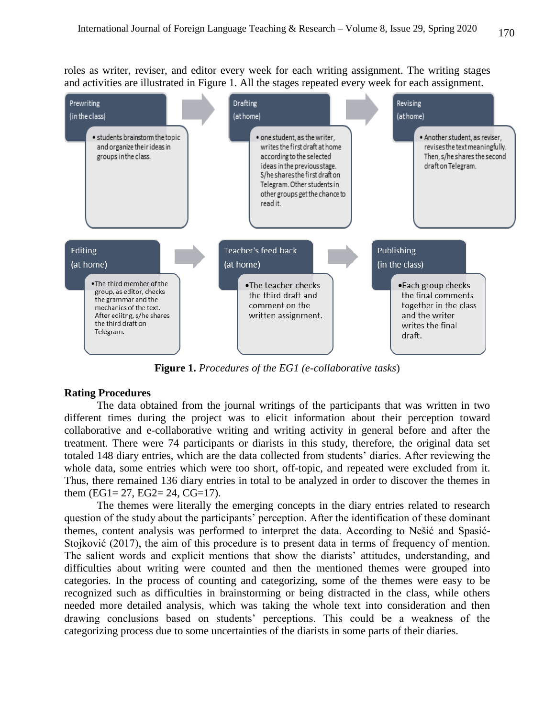roles as writer, reviser, and editor every week for each writing assignment. The writing stages and activities are illustrated in Figure 1. All the stages repeated every week for each assignment.



**Figure 1.** *Procedures of the EG1 (e-collaborative tasks*)

# **Rating Procedures**

The data obtained from the journal writings of the participants that was written in two different times during the project was to elicit information about their perception toward collaborative and e-collaborative writing and writing activity in general before and after the treatment. There were 74 participants or diarists in this study, therefore, the original data set totaled 148 diary entries, which are the data collected from students' diaries. After reviewing the whole data, some entries which were too short, off-topic, and repeated were excluded from it. Thus, there remained 136 diary entries in total to be analyzed in order to discover the themes in them (EG1= 27, EG2= 24, CG=17).

 The themes were literally the emerging concepts in the diary entries related to research question of the study about the participants' perception. After the identification of these dominant themes, content analysis was performed to interpret the data. According to Nešić and Spasić-Stojković (2017), the aim of this procedure is to present data in terms of frequency of mention. The salient words and explicit mentions that show the diarists' attitudes, understanding, and difficulties about writing were counted and then the mentioned themes were grouped into categories. In the process of counting and categorizing, some of the themes were easy to be recognized such as difficulties in brainstorming or being distracted in the class, while others needed more detailed analysis, which was taking the whole text into consideration and then drawing conclusions based on students' perceptions. This could be a weakness of the categorizing process due to some uncertainties of the diarists in some parts of their diaries.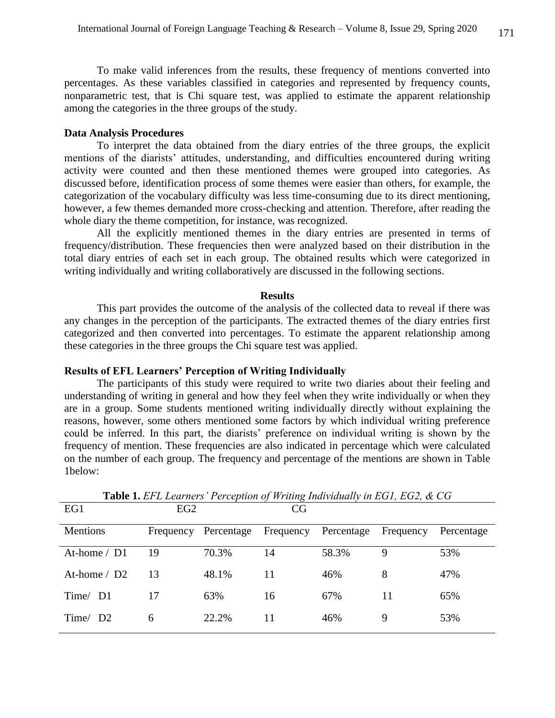To make valid inferences from the results, these frequency of mentions converted into percentages. As these variables classified in categories and represented by frequency counts, nonparametric test, that is Chi square test, was applied to estimate the apparent relationship among the categories in the three groups of the study.

#### **Data Analysis Procedures**

To interpret the data obtained from the diary entries of the three groups, the explicit mentions of the diarists' attitudes, understanding, and difficulties encountered during writing activity were counted and then these mentioned themes were grouped into categories. As discussed before, identification process of some themes were easier than others, for example, the categorization of the vocabulary difficulty was less time-consuming due to its direct mentioning, however, a few themes demanded more cross-checking and attention. Therefore, after reading the whole diary the theme competition, for instance, was recognized.

 All the explicitly mentioned themes in the diary entries are presented in terms of frequency/distribution. These frequencies then were analyzed based on their distribution in the total diary entries of each set in each group. The obtained results which were categorized in writing individually and writing collaboratively are discussed in the following sections.

#### **Results**

This part provides the outcome of the analysis of the collected data to reveal if there was any changes in the perception of the participants. The extracted themes of the diary entries first categorized and then converted into percentages. To estimate the apparent relationship among these categories in the three groups the Chi square test was applied.

#### **Results of EFL Learners' Perception of Writing Individually**

The participants of this study were required to write two diaries about their feeling and understanding of writing in general and how they feel when they write individually or when they are in a group. Some students mentioned writing individually directly without explaining the reasons, however, some others mentioned some factors by which individual writing preference could be inferred. In this part, the diarists' preference on individual writing is shown by the frequency of mention. These frequencies are also indicated in percentage which were calculated on the number of each group. The frequency and percentage of the mentions are shown in Table 1below:

| EG1                        | EG <sub>2</sub> |                                 | CG |       |           |            |
|----------------------------|-----------------|---------------------------------|----|-------|-----------|------------|
| <b>Mentions</b>            | Frequency       | Percentage Frequency Percentage |    |       | Frequency | Percentage |
| At-home / D1               | 19              | 70.3%                           | 14 | 58.3% | 9         | 53%        |
| At-home $/$ D <sub>2</sub> | 13              | 48.1%                           | 11 | 46%   | 8         | 47%        |
| Time/ D1                   | 17              | 63%                             | 16 | 67%   | 11        | 65%        |
| Time/ D2                   | 6               | 22.2%                           | 11 | 46%   | 9         | 53%        |

**Table 1.** *EFL Learners' Perception of Writing Individually in EG1, EG2, & CG*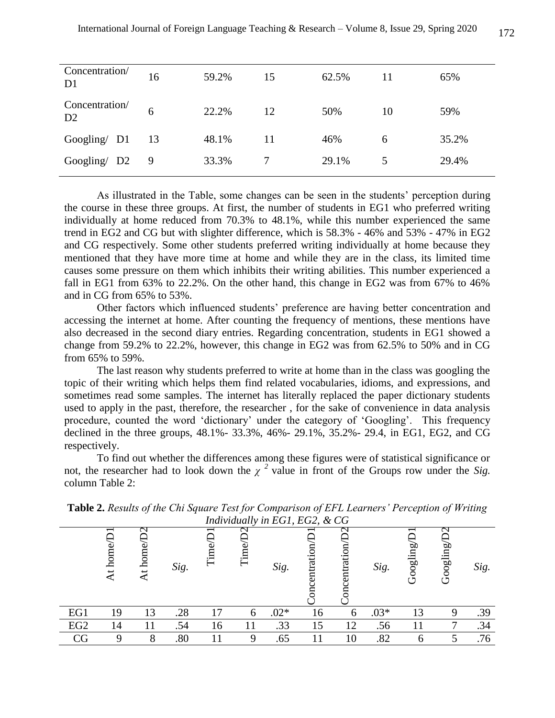| Concentration/<br>D <sub>1</sub> | 16 | 59.2% | 15 | 62.5% | 11 | 65%   |
|----------------------------------|----|-------|----|-------|----|-------|
| Concentration/<br>D2             | 6  | 22.2% | 12 | 50%   | 10 | 59%   |
| Google / D1                      | 13 | 48.1% | 11 | 46%   | 6  | 35.2% |
| Googling/ D2                     | 9  | 33.3% |    | 29.1% | 5  | 29.4% |

As illustrated in the Table, some changes can be seen in the students' perception during the course in these three groups. At first, the number of students in EG1 who preferred writing individually at home reduced from 70.3% to 48.1%, while this number experienced the same trend in EG2 and CG but with slighter difference, which is 58.3% - 46% and 53% - 47% in EG2 and CG respectively. Some other students preferred writing individually at home because they mentioned that they have more time at home and while they are in the class, its limited time causes some pressure on them which inhibits their writing abilities. This number experienced a fall in EG1 from 63% to 22.2%. On the other hand, this change in EG2 was from 67% to 46% and in CG from 65% to 53%.

 Other factors which influenced students' preference are having better concentration and accessing the internet at home. After counting the frequency of mentions, these mentions have also decreased in the second diary entries. Regarding concentration, students in EG1 showed a change from 59.2% to 22.2%, however, this change in EG2 was from 62.5% to 50% and in CG from 65% to 59%.

The last reason why students preferred to write at home than in the class was googling the topic of their writing which helps them find related vocabularies, idioms, and expressions, and sometimes read some samples. The internet has literally replaced the paper dictionary students used to apply in the past, therefore, the researcher , for the sake of convenience in data analysis procedure, counted the word 'dictionary' under the category of 'Googling'. This frequency declined in the three groups, 48.1%- 33.3%, 46%- 29.1%, 35.2%- 29.4, in EG1, EG2, and CG respectively.

 To find out whether the differences among these figures were of statistical significance or not, the researcher had to look down the  $\chi^2$  value in front of the Groups row under the *Sig*. column Table 2:

|                 | home<br>$\mathcal{A}$ | $\sim$<br>hom | Sig. | Ëп | $\lim_{\leftarrow}$ | Sig.   | <i>Individually in EGI, EGZ, &amp; CG</i><br>rati<br>enti | $\sim$<br>trati | Sig.   | guilgoot | ⌒<br>Googling | Sig. |
|-----------------|-----------------------|---------------|------|----|---------------------|--------|-----------------------------------------------------------|-----------------|--------|----------|---------------|------|
|                 |                       |               |      |    |                     |        |                                                           |                 |        |          |               |      |
| EG1             | 19                    | 13            | .28  | 17 | 6                   | $.02*$ | 16                                                        | 6               | $.03*$ | 13       |               | .39  |
| EG <sub>2</sub> | 14                    |               | .54  | 16 |                     | .33    | 15                                                        | 12              | .56    |          |               | .34  |
| CG              |                       | 8             | .80  |    | 9                   | .65    |                                                           | 10              | .82    | 6        |               | .76  |

**Table 2.** *Results of the Chi Square Test for Comparison of EFL Learners' Perception of Writing Individually in EG1, EG2, & CG*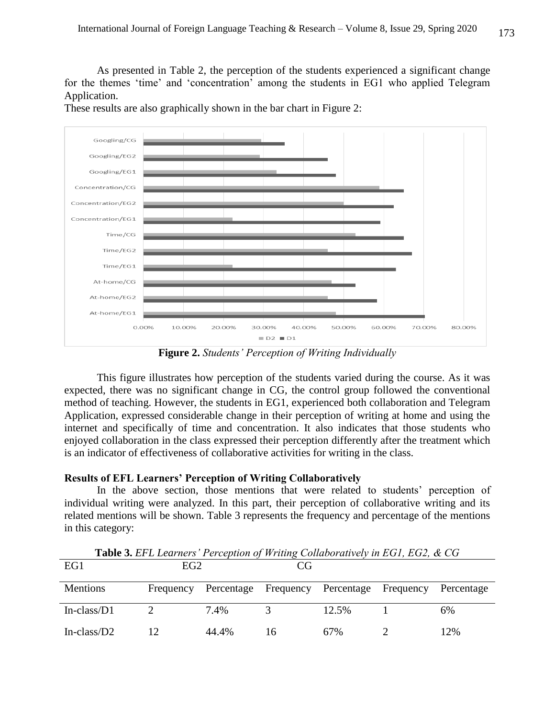As presented in Table 2, the perception of the students experienced a significant change for the themes 'time' and 'concentration' among the students in EG1 who applied Telegram Application.

Googling/CG Googling/EG2 Googling/EG1 Concentration/CG Concentration/EG2 Concentration/EG1 Time/CG Time/EG2 Time/EG1 At-home/CG At-home/EG2 At-home/EG1  $0.00%$ 10.00% 20.00% 30,00% 40.00% 50.00% 60,00% 70.00% 80.00%  $\equiv$  D<sub>2</sub> $\equiv$  D<sub>1</sub>

These results are also graphically shown in the bar chart in Figure 2:

**Figure 2.** *Students' Perception of Writing Individually*

This figure illustrates how perception of the students varied during the course. As it was expected, there was no significant change in CG, the control group followed the conventional method of teaching. However, the students in EG1, experienced both collaboration and Telegram Application, expressed considerable change in their perception of writing at home and using the internet and specifically of time and concentration. It also indicates that those students who enjoyed collaboration in the class expressed their perception differently after the treatment which is an indicator of effectiveness of collaborative activities for writing in the class.

### **Results of EFL Learners' Perception of Writing Collaboratively**

In the above section, those mentions that were related to students' perception of individual writing were analyzed. In this part, their perception of collaborative writing and its related mentions will be shown. Table 3 represents the frequency and percentage of the mentions in this category:

| EG1             | EG2       |       | CG |                                           |            |
|-----------------|-----------|-------|----|-------------------------------------------|------------|
| <b>Mentions</b> | Frequency |       |    | Percentage Frequency Percentage Frequency | Percentage |
| In-class/ $D1$  |           | 7.4%  |    | 12.5%                                     | 6%         |
| In-class/ $D2$  |           | 44.4% |    | 67%                                       | 12%        |

**Table 3.** *EFL Learners' Perception of Writing Collaboratively in EG1, EG2, & CG*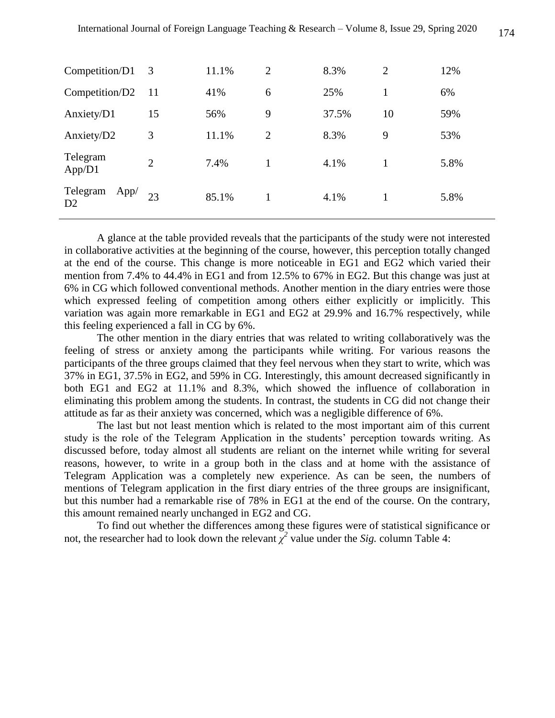| Competition/D1         | 3              | 11.1% | $\overline{2}$ | 8.3%  | $\overline{2}$ | 12%  |
|------------------------|----------------|-------|----------------|-------|----------------|------|
| Competition/D2         | -11            | 41%   | 6              | 25%   | 1              | 6%   |
| Anxiety/D1             | 15             | 56%   | 9              | 37.5% | 10             | 59%  |
| Anxiety/D2             | 3              | 11.1% | $\overline{2}$ | 8.3%  | 9              | 53%  |
| Telegram<br>App/D1     | $\overline{2}$ | 7.4%  | 1              | 4.1%  | 1              | 5.8% |
| Telegram<br>App/<br>D2 | 23             | 85.1% | 1              | 4.1%  | 1              | 5.8% |

 A glance at the table provided reveals that the participants of the study were not interested in collaborative activities at the beginning of the course, however, this perception totally changed at the end of the course. This change is more noticeable in EG1 and EG2 which varied their mention from 7.4% to 44.4% in EG1 and from 12.5% to 67% in EG2. But this change was just at 6% in CG which followed conventional methods. Another mention in the diary entries were those which expressed feeling of competition among others either explicitly or implicitly. This variation was again more remarkable in EG1 and EG2 at 29.9% and 16.7% respectively, while this feeling experienced a fall in CG by 6%.

 The other mention in the diary entries that was related to writing collaboratively was the feeling of stress or anxiety among the participants while writing. For various reasons the participants of the three groups claimed that they feel nervous when they start to write, which was 37% in EG1, 37.5% in EG2, and 59% in CG. Interestingly, this amount decreased significantly in both EG1 and EG2 at 11.1% and 8.3%, which showed the influence of collaboration in eliminating this problem among the students. In contrast, the students in CG did not change their attitude as far as their anxiety was concerned, which was a negligible difference of 6%.

 The last but not least mention which is related to the most important aim of this current study is the role of the Telegram Application in the students' perception towards writing. As discussed before, today almost all students are reliant on the internet while writing for several reasons, however, to write in a group both in the class and at home with the assistance of Telegram Application was a completely new experience. As can be seen, the numbers of mentions of Telegram application in the first diary entries of the three groups are insignificant, but this number had a remarkable rise of 78% in EG1 at the end of the course. On the contrary, this amount remained nearly unchanged in EG2 and CG.

 To find out whether the differences among these figures were of statistical significance or not, the researcher had to look down the relevant  $\chi^2$  value under the *Sig.* column Table 4: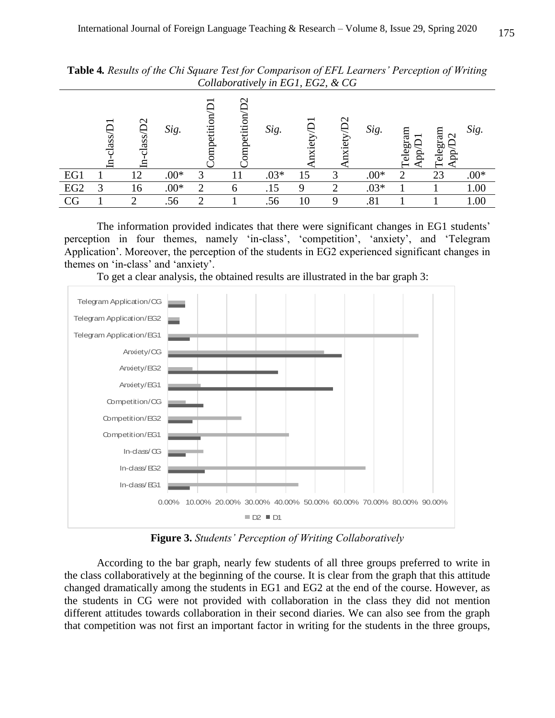|                 | lass, | $\mathcal{C}$<br>ass, | Sig.   | ompetition | $\sim$<br>Ë<br>mpet | Sig.   | O  | $\mathbf{\Omega}$<br>-<br>₩<br>ت: | Sig.   | ಸ<br>5g<br>C<br>ಸ | аn<br>$\bar{\circ}$<br>бg<br>ಕ | Sig.   |
|-----------------|-------|-----------------------|--------|------------|---------------------|--------|----|-----------------------------------|--------|-------------------|--------------------------------|--------|
| EG1             |       | 12                    | $.00*$ | 3          |                     | $.03*$ | 15 |                                   | $.00*$ | ◠                 | 23                             | $.00*$ |
| EG <sub>2</sub> | っ     | 16                    | $.00*$ | റ          |                     | .15    |    |                                   | $.03*$ |                   |                                | 1.00   |
| CG              |       |                       | .56    |            |                     | .56    | 10 |                                   | .81    |                   |                                | 0.00   |

**Table 4***. Results of the Chi Square Test for Comparison of EFL Learners' Perception of Writing Collaboratively in EG1, EG2, & CG*

 The information provided indicates that there were significant changes in EG1 students' perception in four themes, namely 'in-class', 'competition', 'anxiety', and 'Telegram Application'. Moreover, the perception of the students in EG2 experienced significant changes in themes on 'in-class' and 'anxiety'.



To get a clear analysis, the obtained results are illustrated in the bar graph 3:

**Figure 3.** *Students' Perception of Writing Collaboratively*

 According to the bar graph, nearly few students of all three groups preferred to write in the class collaboratively at the beginning of the course. It is clear from the graph that this attitude changed dramatically among the students in EG1 and EG2 at the end of the course. However, as the students in CG were not provided with collaboration in the class they did not mention different attitudes towards collaboration in their second diaries. We can also see from the graph that competition was not first an important factor in writing for the students in the three groups,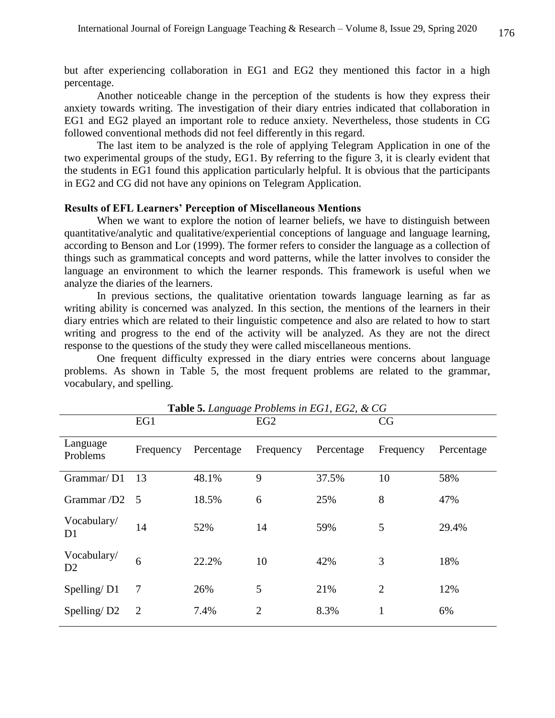but after experiencing collaboration in EG1 and EG2 they mentioned this factor in a high percentage.

 Another noticeable change in the perception of the students is how they express their anxiety towards writing. The investigation of their diary entries indicated that collaboration in EG1 and EG2 played an important role to reduce anxiety. Nevertheless, those students in CG followed conventional methods did not feel differently in this regard.

 The last item to be analyzed is the role of applying Telegram Application in one of the two experimental groups of the study, EG1. By referring to the figure 3, it is clearly evident that the students in EG1 found this application particularly helpful. It is obvious that the participants in EG2 and CG did not have any opinions on Telegram Application.

#### **Results of EFL Learners' Perception of Miscellaneous Mentions**

When we want to explore the notion of learner beliefs, we have to distinguish between quantitative/analytic and qualitative/experiential conceptions of language and language learning, according to Benson and Lor (1999). The former refers to consider the language as a collection of things such as grammatical concepts and word patterns, while the latter involves to consider the language an environment to which the learner responds. This framework is useful when we analyze the diaries of the learners.

 In previous sections, the qualitative orientation towards language learning as far as writing ability is concerned was analyzed. In this section, the mentions of the learners in their diary entries which are related to their linguistic competence and also are related to how to start writing and progress to the end of the activity will be analyzed. As they are not the direct response to the questions of the study they were called miscellaneous mentions.

 One frequent difficulty expressed in the diary entries were concerns about language problems. As shown in Table 5, the most frequent problems are related to the grammar, vocabulary, and spelling.

|                               | EG1            | Ō.<br>◡    | EG <sub>2</sub> |            | CG             |            |
|-------------------------------|----------------|------------|-----------------|------------|----------------|------------|
| Language<br>Problems          | Frequency      | Percentage | Frequency       | Percentage | Frequency      | Percentage |
| Grammar/D1                    | 13             | 48.1%      | 9               | 37.5%      | 10             | 58%        |
| Grammar /D2 5                 |                | 18.5%      | 6               | 25%        | 8              | 47%        |
| Vocabulary/<br>D1             | 14             | 52%        | 14              | 59%        | 5              | 29.4%      |
| Vocabulary/<br>D <sub>2</sub> | 6              | 22.2%      | 10              | 42%        | 3              | 18%        |
| Spelling/D1                   | 7              | 26%        | 5               | 21%        | $\overline{2}$ | 12%        |
| Spelling/D <sub>2</sub>       | $\overline{2}$ | 7.4%       | $\overline{2}$  | 8.3%       | 1              | 6%         |

**Table 5.** *Language Problems in EG1, EG2, & CG*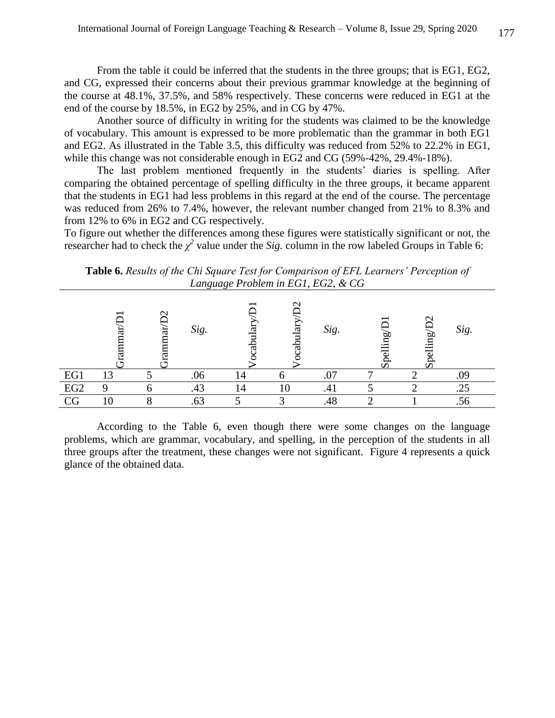From the table it could be inferred that the students in the three groups; that is EG1, EG2, and CG, expressed their concerns about their previous grammar knowledge at the beginning of the course at 48.1%, 37.5%, and 58% respectively. These concerns were reduced in EG1 at the end of the course by 18.5%, in EG2 by 25%, and in CG by 47%.

 Another source of difficulty in writing for the students was claimed to be the knowledge of vocabulary. This amount is expressed to be more problematic than the grammar in both EG1 and EG2. As illustrated in the Table 3.5, this difficulty was reduced from 52% to 22.2% in EG1, while this change was not considerable enough in EG2 and CG (59%-42%, 29.4%-18%).

 The last problem mentioned frequently in the students' diaries is spelling. After comparing the obtained percentage of spelling difficulty in the three groups, it became apparent that the students in EG1 had less problems in this regard at the end of the course. The percentage was reduced from 26% to 7.4%, however, the relevant number changed from 21% to 8.3% and from 12% to 6% in EG2 and CG respectively.

To figure out whether the differences among these figures were statistically significant or not, the researcher had to check the  $\chi^2$  value under the *Sig.* column in the row labeled Groups in Table 6:

**Table 6.** *Results of the Chi Square Test for Comparison of EFL Learners' Perception of Language Problem in EG1, EG2, & CG*

|                 |    | ω | Sig. |    | $\sim$<br>ದ | Sig. | ⊏ | ⌒<br>or,<br>.≡<br>℺. | Sig. |  |
|-----------------|----|---|------|----|-------------|------|---|----------------------|------|--|
| EG1             | 13 |   | .06  |    |             | .07  |   |                      |      |  |
| EG <sub>2</sub> |    |   | 43.  | 14 |             | .41  |   |                      | .25  |  |
| CG              |    |   | .63  |    |             | .48  |   |                      | .J J |  |

According to the Table 6, even though there were some changes on the language problems, which are grammar, vocabulary, and spelling, in the perception of the students in all three groups after the treatment, these changes were not significant. Figure 4 represents a quick glance of the obtained data.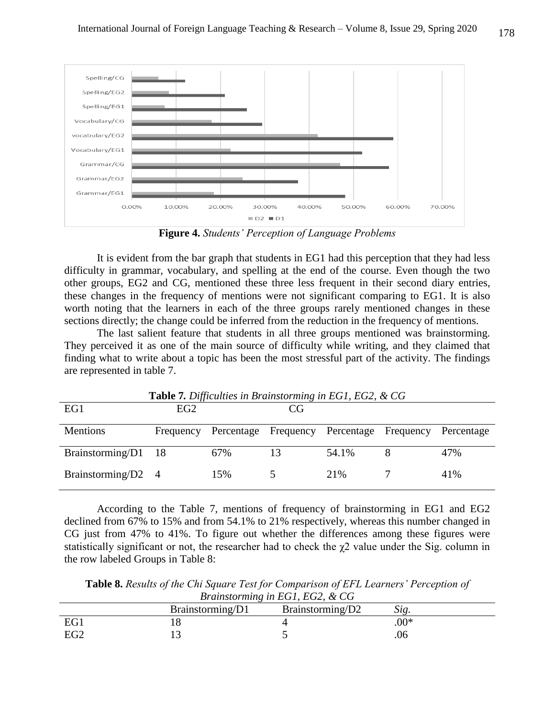

**Figure 4.** *Students' Perception of Language Problems*

 It is evident from the bar graph that students in EG1 had this perception that they had less difficulty in grammar, vocabulary, and spelling at the end of the course. Even though the two other groups, EG2 and CG, mentioned these three less frequent in their second diary entries, these changes in the frequency of mentions were not significant comparing to EG1. It is also worth noting that the learners in each of the three groups rarely mentioned changes in these sections directly; the change could be inferred from the reduction in the frequency of mentions.

 The last salient feature that students in all three groups mentioned was brainstorming. They perceived it as one of the main source of difficulty while writing, and they claimed that finding what to write about a topic has been the most stressful part of the activity. The findings are represented in table 7.

| <b>Table 7.</b> Difficulties in Brainstorming in EG1, EG2, & CG |     |     |    |                                                     |  |            |  |
|-----------------------------------------------------------------|-----|-----|----|-----------------------------------------------------|--|------------|--|
| EG1                                                             | EG2 |     | CG |                                                     |  |            |  |
| <b>Mentions</b>                                                 |     |     |    | Frequency Percentage Frequency Percentage Frequency |  | Percentage |  |
| Brainstorming/D1 18                                             |     | 67% |    | 54.1%                                               |  | 47%        |  |
| Brainstorming/D2 4                                              |     | 15% |    | 2.1%                                                |  | 41%        |  |

**Table 7***. Difficulties in Brainstorming in EG1, EG2, & CG*

 According to the Table 7, mentions of frequency of brainstorming in EG1 and EG2 declined from 67% to 15% and from 54.1% to 21% respectively, whereas this number changed in CG just from 47% to 41%. To figure out whether the differences among these figures were statistically significant or not, the researcher had to check the  $\chi$ 2 value under the Sig. column in the row labeled Groups in Table 8:

**Table 8.** *Results of the Chi Square Test for Comparison of EFL Learners' Perception of Brainstorming in EG1, EG2, & CG*

|     | Brainstorming/D1 | Brainstorming/D2 |        |  |  |  |  |  |
|-----|------------------|------------------|--------|--|--|--|--|--|
| EG1 |                  |                  | $.00*$ |  |  |  |  |  |
| EG2 |                  |                  | .U6    |  |  |  |  |  |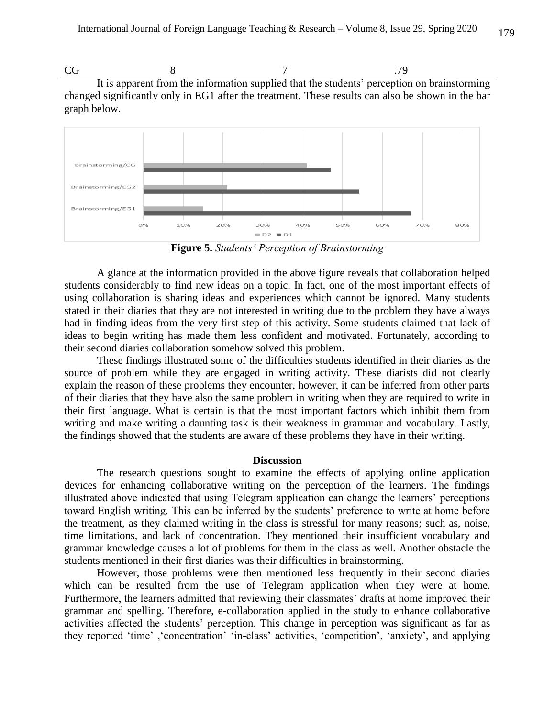$CG$  8 7 .79 It is apparent from the information supplied that the students' perception on brainstorming changed significantly only in EG1 after the treatment. These results can also be shown in the bar graph below.



**Figure 5.** *Students' Perception of Brainstorming*

A glance at the information provided in the above figure reveals that collaboration helped students considerably to find new ideas on a topic. In fact, one of the most important effects of using collaboration is sharing ideas and experiences which cannot be ignored. Many students stated in their diaries that they are not interested in writing due to the problem they have always had in finding ideas from the very first step of this activity. Some students claimed that lack of ideas to begin writing has made them less confident and motivated. Fortunately, according to their second diaries collaboration somehow solved this problem.

 These findings illustrated some of the difficulties students identified in their diaries as the source of problem while they are engaged in writing activity. These diarists did not clearly explain the reason of these problems they encounter, however, it can be inferred from other parts of their diaries that they have also the same problem in writing when they are required to write in their first language. What is certain is that the most important factors which inhibit them from writing and make writing a daunting task is their weakness in grammar and vocabulary. Lastly, the findings showed that the students are aware of these problems they have in their writing.

### **Discussion**

The research questions sought to examine the effects of applying online application devices for enhancing collaborative writing on the perception of the learners. The findings illustrated above indicated that using Telegram application can change the learners' perceptions toward English writing. This can be inferred by the students' preference to write at home before the treatment, as they claimed writing in the class is stressful for many reasons; such as, noise, time limitations, and lack of concentration. They mentioned their insufficient vocabulary and grammar knowledge causes a lot of problems for them in the class as well. Another obstacle the students mentioned in their first diaries was their difficulties in brainstorming.

 However, those problems were then mentioned less frequently in their second diaries which can be resulted from the use of Telegram application when they were at home. Furthermore, the learners admitted that reviewing their classmates' drafts at home improved their grammar and spelling. Therefore, e-collaboration applied in the study to enhance collaborative activities affected the students' perception. This change in perception was significant as far as they reported 'time' ,'concentration' 'in-class' activities, 'competition', 'anxiety', and applying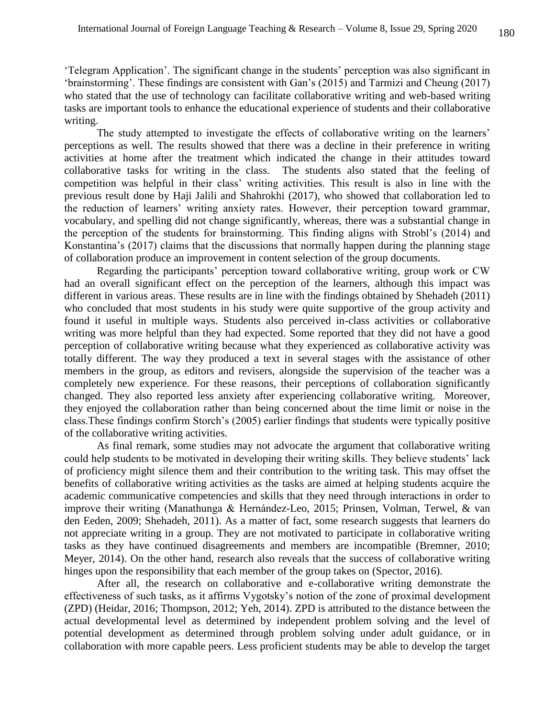'Telegram Application'. The significant change in the students' perception was also significant in 'brainstorming'. These findings are consistent with Gan's (2015) and Tarmizi and Cheung (2017) who stated that the use of technology can facilitate collaborative writing and web-based writing tasks are important tools to enhance the educational experience of students and their collaborative writing.

 The study attempted to investigate the effects of collaborative writing on the learners' perceptions as well. The results showed that there was a decline in their preference in writing activities at home after the treatment which indicated the change in their attitudes toward collaborative tasks for writing in the class. The students also stated that the feeling of competition was helpful in their class' writing activities. This result is also in line with the previous result done by Haji Jalili and Shahrokhi (2017), who showed that collaboration led to the reduction of learners' writing anxiety rates. However, their perception toward grammar, vocabulary, and spelling did not change significantly, whereas, there was a substantial change in the perception of the students for brainstorming. This finding aligns with Strobl's (2014) and Konstantina's (2017) claims that the discussions that normally happen during the planning stage of collaboration produce an improvement in content selection of the group documents.

 Regarding the participants' perception toward collaborative writing, group work or CW had an overall significant effect on the perception of the learners, although this impact was different in various areas. These results are in line with the findings obtained by Shehadeh (2011) who concluded that most students in his study were quite supportive of the group activity and found it useful in multiple ways. Students also perceived in-class activities or collaborative writing was more helpful than they had expected. Some reported that they did not have a good perception of collaborative writing because what they experienced as collaborative activity was totally different. The way they produced a text in several stages with the assistance of other members in the group, as editors and revisers, alongside the supervision of the teacher was a completely new experience. For these reasons, their perceptions of collaboration significantly changed. They also reported less anxiety after experiencing collaborative writing. Moreover, they enjoyed the collaboration rather than being concerned about the time limit or noise in the class.These findings confirm Storch's (2005) earlier findings that students were typically positive of the collaborative writing activities.

 As final remark, some studies may not advocate the argument that collaborative writing could help students to be motivated in developing their writing skills. They believe students' lack of proficiency might silence them and their contribution to the writing task. This may offset the benefits of collaborative writing activities as the tasks are aimed at helping students acquire the academic communicative competencies and skills that they need through interactions in order to improve their writing (Manathunga & Hernández-Leo, 2015; Prinsen, Volman, Terwel, & van den Eeden, 2009; Shehadeh, 2011). As a matter of fact, some research suggests that learners do not appreciate writing in a group. They are not motivated to participate in collaborative writing tasks as they have continued disagreements and members are incompatible (Bremner, 2010; Meyer, 2014). On the other hand, research also reveals that the success of collaborative writing hinges upon the responsibility that each member of the group takes on (Spector, 2016).

 After all, the research on collaborative and e-collaborative writing demonstrate the effectiveness of such tasks, as it affirms Vygotsky's notion of the zone of proximal development (ZPD) (Heidar, 2016; Thompson, 2012; Yeh, 2014). ZPD is attributed to the distance between the actual developmental level as determined by independent problem solving and the level of potential development as determined through problem solving under adult guidance, or in collaboration with more capable peers. Less proficient students may be able to develop the target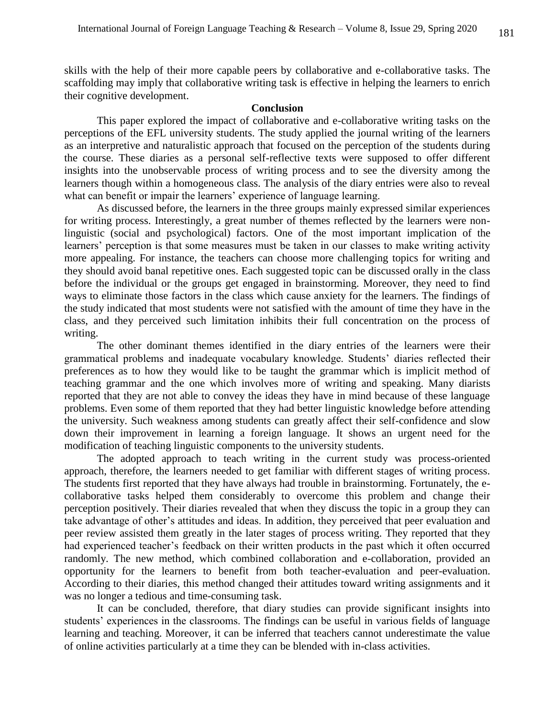skills with the help of their more capable peers by collaborative and e-collaborative tasks. The scaffolding may imply that collaborative writing task is effective in helping the learners to enrich their cognitive development.

#### **Conclusion**

This paper explored the impact of collaborative and e-collaborative writing tasks on the perceptions of the EFL university students. The study applied the journal writing of the learners as an interpretive and naturalistic approach that focused on the perception of the students during the course. These diaries as a personal self-reflective texts were supposed to offer different insights into the unobservable process of writing process and to see the diversity among the learners though within a homogeneous class. The analysis of the diary entries were also to reveal what can benefit or impair the learners' experience of language learning.

 As discussed before, the learners in the three groups mainly expressed similar experiences for writing process. Interestingly, a great number of themes reflected by the learners were nonlinguistic (social and psychological) factors. One of the most important implication of the learners' perception is that some measures must be taken in our classes to make writing activity more appealing. For instance, the teachers can choose more challenging topics for writing and they should avoid banal repetitive ones. Each suggested topic can be discussed orally in the class before the individual or the groups get engaged in brainstorming. Moreover, they need to find ways to eliminate those factors in the class which cause anxiety for the learners. The findings of the study indicated that most students were not satisfied with the amount of time they have in the class, and they perceived such limitation inhibits their full concentration on the process of writing.

 The other dominant themes identified in the diary entries of the learners were their grammatical problems and inadequate vocabulary knowledge. Students' diaries reflected their preferences as to how they would like to be taught the grammar which is implicit method of teaching grammar and the one which involves more of writing and speaking. Many diarists reported that they are not able to convey the ideas they have in mind because of these language problems. Even some of them reported that they had better linguistic knowledge before attending the university. Such weakness among students can greatly affect their self-confidence and slow down their improvement in learning a foreign language. It shows an urgent need for the modification of teaching linguistic components to the university students.

 The adopted approach to teach writing in the current study was process-oriented approach, therefore, the learners needed to get familiar with different stages of writing process. The students first reported that they have always had trouble in brainstorming. Fortunately, the ecollaborative tasks helped them considerably to overcome this problem and change their perception positively. Their diaries revealed that when they discuss the topic in a group they can take advantage of other's attitudes and ideas. In addition, they perceived that peer evaluation and peer review assisted them greatly in the later stages of process writing. They reported that they had experienced teacher's feedback on their written products in the past which it often occurred randomly. The new method, which combined collaboration and e-collaboration, provided an opportunity for the learners to benefit from both teacher-evaluation and peer-evaluation. According to their diaries, this method changed their attitudes toward writing assignments and it was no longer a tedious and time-consuming task.

 It can be concluded, therefore, that diary studies can provide significant insights into students' experiences in the classrooms. The findings can be useful in various fields of language learning and teaching. Moreover, it can be inferred that teachers cannot underestimate the value of online activities particularly at a time they can be blended with in-class activities.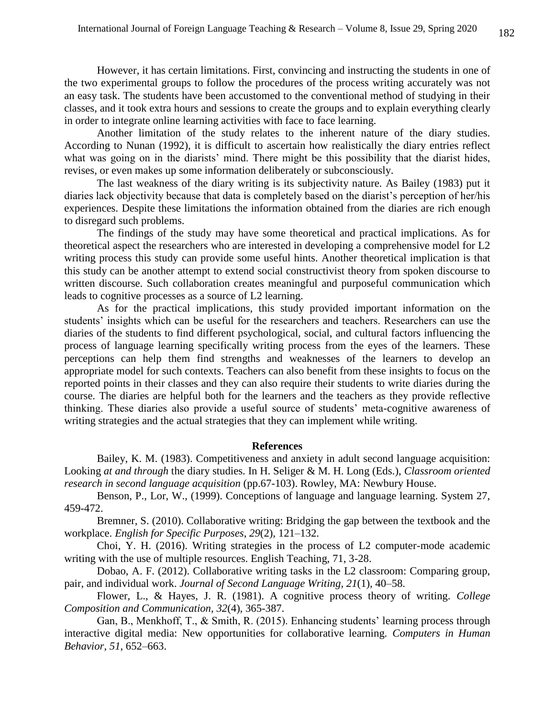However, it has certain limitations. First, convincing and instructing the students in one of the two experimental groups to follow the procedures of the process writing accurately was not an easy task. The students have been accustomed to the conventional method of studying in their classes, and it took extra hours and sessions to create the groups and to explain everything clearly in order to integrate online learning activities with face to face learning.

 Another limitation of the study relates to the inherent nature of the diary studies. According to Nunan (1992), it is difficult to ascertain how realistically the diary entries reflect what was going on in the diarists' mind. There might be this possibility that the diarist hides, revises, or even makes up some information deliberately or subconsciously.

 The last weakness of the diary writing is its subjectivity nature. As Bailey (1983) put it diaries lack objectivity because that data is completely based on the diarist's perception of her/his experiences. Despite these limitations the information obtained from the diaries are rich enough to disregard such problems.

The findings of the study may have some theoretical and practical implications. As for theoretical aspect the researchers who are interested in developing a comprehensive model for L2 writing process this study can provide some useful hints. Another theoretical implication is that this study can be another attempt to extend social constructivist theory from spoken discourse to written discourse. Such collaboration creates meaningful and purposeful communication which leads to cognitive processes as a source of L2 learning.

 As for the practical implications, this study provided important information on the students' insights which can be useful for the researchers and teachers. Researchers can use the diaries of the students to find different psychological, social, and cultural factors influencing the process of language learning specifically writing process from the eyes of the learners. These perceptions can help them find strengths and weaknesses of the learners to develop an appropriate model for such contexts. Teachers can also benefit from these insights to focus on the reported points in their classes and they can also require their students to write diaries during the course. The diaries are helpful both for the learners and the teachers as they provide reflective thinking. These diaries also provide a useful source of students' meta-cognitive awareness of writing strategies and the actual strategies that they can implement while writing.

#### **References**

Bailey, K. M. (1983). Competitiveness and anxiety in adult second language acquisition: Looking *at and through* the diary studies. In H. Seliger & M. H. Long (Eds.), *Classroom oriented research in second language acquisition* (pp.67-103). Rowley, MA: Newbury House.

Benson, P., Lor, W., (1999). Conceptions of language and language learning. System 27, 459-472.

Bremner, S. (2010). Collaborative writing: Bridging the gap between the textbook and the workplace. *English for Specific Purposes*, *29*(2), 121–132.

Choi, Y. H. (2016). Writing strategies in the process of L2 computer-mode academic writing with the use of multiple resources. English Teaching, 71, 3-28.

Dobao, A. F. (2012). Collaborative writing tasks in the L2 classroom: Comparing group, pair, and individual work. *Journal of Second Language Writing*, *21*(1), 40–58.

Flower, L., & Hayes, J. R. (1981). A cognitive process theory of writing. *College Composition and Communication*, *32*(4), 365-387.

Gan, B., Menkhoff, T.,  $\&$  Smith, R. (2015). Enhancing students' learning process through interactive digital media: New opportunities for collaborative learning. *Computers in Human Behavior*, *51*, 652–663.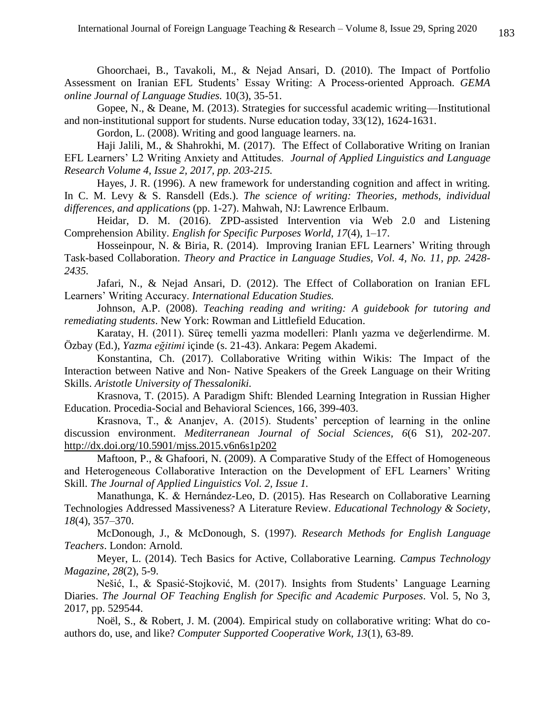Ghoorchaei, B., Tavakoli, M., & Nejad Ansari, D. (2010). The Impact of Portfolio Assessment on Iranian EFL Students' Essay Writing: A Process-oriented Approach. *GEMA online Journal of Language Studies.* 10(3), 35-51.

Gopee, N., & Deane, M. (2013). Strategies for successful academic writing—Institutional and non-institutional support for students. Nurse education today, 33(12), 1624-1631.

Gordon, L. (2008). Writing and good language learners. na.

Haji Jalili, M., & Shahrokhi, M. (2017). The Effect of Collaborative Writing on Iranian EFL Learners' L2 Writing Anxiety and Attitudes. *Journal of Applied Linguistics and Language Research Volume 4, Issue 2, 2017, pp. 203-215.*

Hayes, J. R. (1996). A new framework for understanding cognition and affect in writing. In C. M. Levy & S. Ransdell (Eds.). *The science of writing: Theories, methods, individual differences, and applications* (pp. 1-27). Mahwah, NJ: Lawrence Erlbaum.

Heidar, D. M. (2016). ZPD-assisted Intervention via Web 2.0 and Listening Comprehension Ability. *English for Specific Purposes World*, *17*(4), 1–17.

Hosseinpour, N. & Biria, R. (2014). Improving Iranian EFL Learners' Writing through Task-based Collaboration. *Theory and Practice in Language Studies, Vol. 4, No. 11, pp. 2428- 2435.*

Jafari, N., & Nejad Ansari, D. (2012). The Effect of Collaboration on Iranian EFL Learners' Writing Accuracy. *International Education Studies.*

Johnson, A.P. (2008). *Teaching reading and writing: A guidebook for tutoring and remediating students*. New York: Rowman and Littlefield Education.

Karatay, H. (2011). Süreç temelli yazma modelleri: Planlı yazma ve değerlendirme. M. Özbay (Ed.), *Yazma eğitimi* içinde (s. 21-43). Ankara: Pegem Akademi.

Konstantina, Ch. (2017). Collaborative Writing within Wikis: The Impact of the Interaction between Native and Non- Native Speakers of the Greek Language on their Writing Skills. *Aristotle University of Thessaloniki.*

Krasnova, T. (2015). A Paradigm Shift: Blended Learning Integration in Russian Higher Education. Procedia-Social and Behavioral Sciences, 166, 399-403.

Krasnova, T., & Ananjev, A. (2015). Students' perception of learning in the online discussion environment. *Mediterranean Journal of Social Sciences, 6*(6 S1), 202-207. <http://dx.doi.org/10.5901/mjss.2015.v6n6s1p202>

Maftoon, P., & Ghafoori, N. (2009). A Comparative Study of the Effect of Homogeneous and Heterogeneous Collaborative Interaction on the Development of EFL Learners' Writing Skill. *The Journal of Applied Linguistics Vol. 2, Issue 1.*

Manathunga, K. & Hernández-Leo, D. (2015). Has Research on Collaborative Learning Technologies Addressed Massiveness? A Literature Review. *Educational Technology & Society*, *18*(4), 357–370.

McDonough, J., & McDonough, S. (1997). *Research Methods for English Language Teachers*. London: Arnold.

Meyer, L. (2014). Tech Basics for Active, Collaborative Learning. *Campus Technology Magazine*, *28*(2), 5-9.

Nešić, I., & Spasić-Stojković, M. (2017). Insights from Students' Language Learning Diaries. *The Journal OF Teaching English for Specific and Academic Purposes*. Vol. 5, No 3, 2017, pp. 529544.

Noël, S., & Robert, J. M. (2004). Empirical study on collaborative writing: What do coauthors do, use, and like? *Computer Supported Cooperative Work, 13*(1), 63-89.